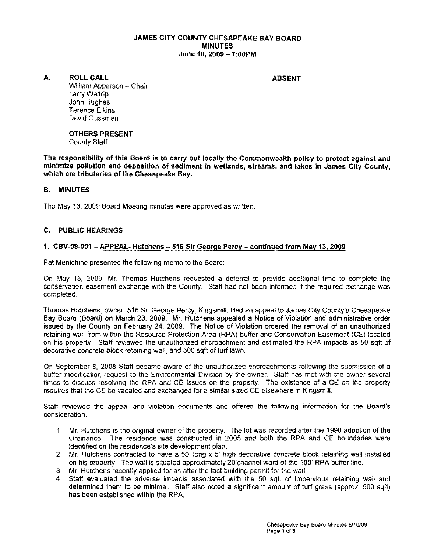### JAMES CITY COUNTY CHESAPEAKE BAY BOARD **MINUTES** June 10, 2009 - 7:00PM

A. ROLL CALL **ABSENT** 

William Apperson - Chair Larry Waltrip John Hughes Terence Elkins David Gussman

OTHERS PRESENT County Staff

The responsibility of this Board is to carry out locally the Commonwealth policy to protect against and minimize pollution and deposition of sediment In wetlands, streams, and lakes in James City County, which are tributaries of the Chesapeake Bay.

## B. MINUTES

The May 13, 2009 Board Meeting minutes were approved as written,

## C. PUBLIC HEARINGS

#### 1. CBV-09-001 - APPEAL- Hutchens - 516 Sir George Percy - continued from May 13, 2009

Pat Menichino presented the following memo to the Board:

On May 13, 2009, Mr. Thomas Hutchens requested a deferral to provide additional time to complete the conservation easement exchange with the County, Staff had not been informed if the required exchange was completed,

Thomas Hutchens, owner, 516 Sir George Percy, Kingsmill, filed an appeal to James City County's Chesapeake Bay Board (Board) on March 23, 2009, Mr. Hutchens appealed a Notice of Violation and administrative order issued by the County on February 24, 2009, The Notice of Violation ordered the removal of an unauthorized retaining wall from within the Resource Protection Area (RPA) buffer and Conservation Easement (CEl located on his property, Staff reviewed the unauthorized encroachment and estimated the RPA impacts as 50 sqft of decorative concrete block retaining wall, and 500 sqft of turf lawn,

On September 8, 2008 Staff became aware of the unauthorized encroachments following the submission of a buffer modification request to the Environmental Division by the owner. Staff has met with the owner several times to discuss resolving the RPA and CE issues on the property, The existence of a CE on the property requires that the CE be vacated and exchanged for a similar sized CE elsewhere in Kingsmill,

Staff reviewed the appeal and violation documents and offered the following information for the Board's consideration,

- 1, Mr. Hutchens is the original owner of the property, The lot was recorded after the 1990 adoption of the Ordinance, The residence was constructed in 2005 and both the RPA and CE boundaries were identified on the residence's site development plan,
- 2, Mr. Hutchens contracted to have a 50' long x 5' high decorative concrete block retaining wall installed on his property, The wall is situated approximately 20'channel ward of the 100' RPA buffer line,
- 3, Mr. Hutchens recently applied for an after the fact building permit for the wall,
- 4, Staff evaluated the adverse impacts associated with the 50 sqft of impervious retaining wall and determined them to be minimal. Staff also noted a significant amount of turf grass (approx, 500 sqft) has been established within the RPA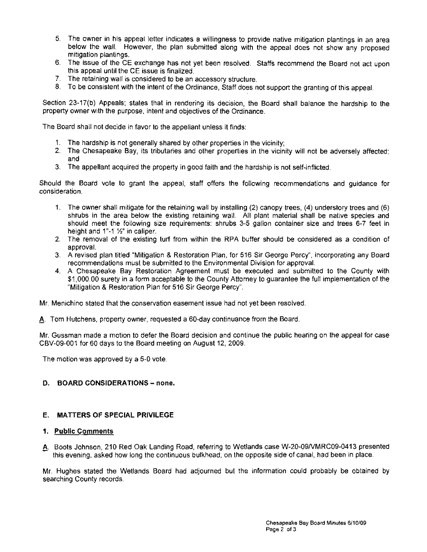- 5. The owner in his appeal letter indicates a willingness to provide native mitigation plantings in an area below the wall. However, the plan submitted along with the appeal does not show any proposed mitigation plantings.
- 6. The issue of the CE exchange has not yet been resolved. Staffs recommend the Board not act upon this appeal until the CE issue is finalized.
- 7. The retaining wall is considered to be an accessory structure.
- 8. To be consistent with the intent of the Ordinance, Staff does not support the granting of this appeal.

Section 23-17(b) Appeals; states that in rendering its decision, the Board shall balance the hardship to the property owner with the purpose, intent and objectives of the Ordinance.

The Board shall not decide in favor to the appellant unless it finds:

- 1. The hardship is not generally shared by other properties in the vicinity;
- 2. The Chesapeake Bay, its tributaries and other properties in the vicinity will not be adversely affected; and
- 3. The appellant acquired the property in good faith and the hardship is not self-inflicted.

Should the Board vote to grant the appeal, staff offers the following recommendations and guidance for consideration.

- 1. The owner shall mitigate for the retaining wall by installing (2) canopy trees, (4) understory trees and (6) shrubs in the area below the existing retaining wall. All plant material shall be native species and should meet the following size requirements: shrubs 3-5 gallon container size and trees 6-7 feet in height and 1"-1 %" in caliper.
- 2. The removal of the existing turf from within the RPA buffer should be considered as a condition of approval.
- 3. A revised plan titled "Mitigation & Restoration Plan, for 516 Sir George Percy", incorporating any Board recommendations must be submitted to the Environmental Division for approval.
- 4. A Chesapeake Bay Restoration Agreement must be executed and submitted to the County with \$1,000.00 surety in a form acceptable to the County Attorney to guarantee the full implementation of the "Mitigation & Restoration Plan for 516 Sir George Percy".

Mr. Menichino stated that the conservation easement issue had not yet been resolved.

A. Tom Hutchens, property owner, requested a 60-day continuance from the Board.

Mr. Gussman made a motion to defer the Board decision and continue the public hearing on the appeal for case CBV-09-001 for 60 days to the Board meeting on August 12, 2009.

The motion was approved by a 5-0 vote.

#### D. BOARD CONSIDERATIONS - none.

### E, **MATTERS** OF SPECIAL PRIVILEGE

#### 1. Public Comments

A. Boots Johnson, 210 Red Oak Landing Road, referring to Wetlands case W-20-09/VMRC09-0413 presented this evening, asked how long the continuous bulkhead, on the opposite side of canal, had been in place.

Mr. Hughes stated the Wetlands Board had adjourned but the information could probably be obtained by searching County records.